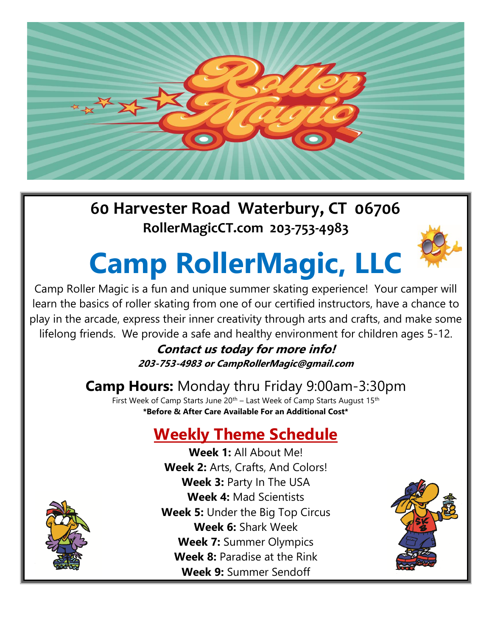

## **60 Harvester Road Waterbury, CT 06706 RollerMagicCT.com 203-753-4983**

# **Camp RollerMagic, LLC**



Camp Roller Magic is a fun and unique summer skating experience! Your camper will learn the basics of roller skating from one of our certified instructors, have a chance to play in the arcade, express their inner creativity through arts and crafts, and make some lifelong friends. We provide a safe and healthy environment for children ages 5-12.

**Contact us today for more info! 203-753-4983 or CampRollerMagic@gmail.com**

## **Camp Hours:** Monday thru Friday 9:00am-3:30pm

First Week of Camp Starts June  $20<sup>th</sup>$  – Last Week of Camp Starts August 15<sup>th</sup> **\*Before & After Care Available For an Additional Cost\***

## **Weekly Theme Schedule**

**Week 1:** All About Me! **Week 2:** Arts, Crafts, And Colors! **Week 3:** Party In The USA **Week 4:** Mad Scientists **Week 5:** Under the Big Top Circus **Week 6:** Shark Week **Week 7:** Summer Olympics **Week 8:** Paradise at the Rink **Week 9:** Summer Sendoff